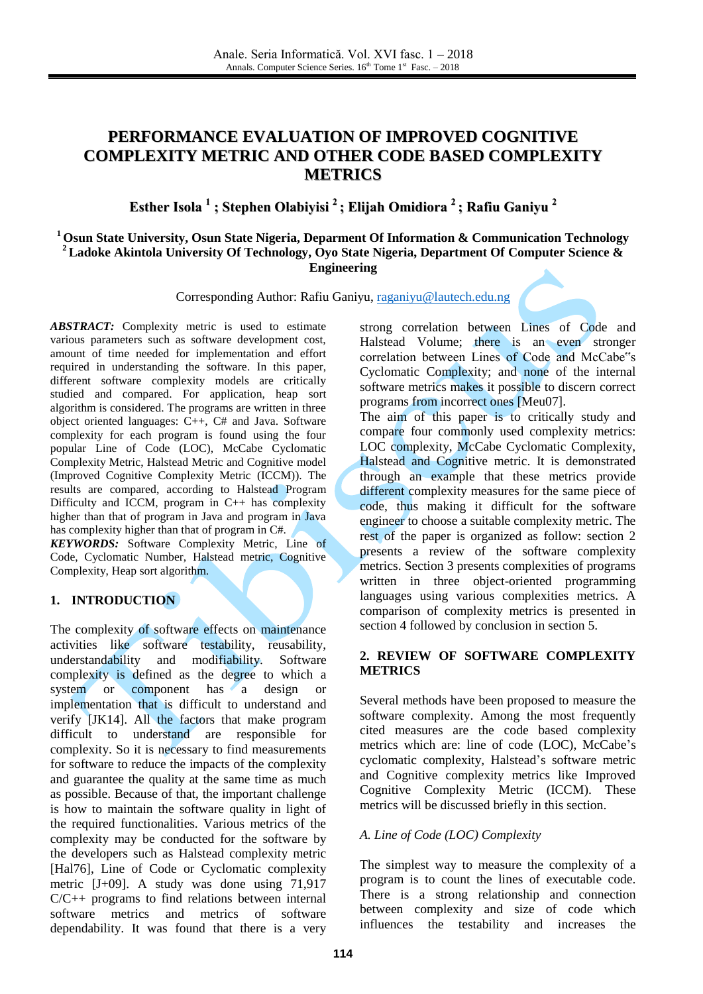# **PERFORMANCE EVALUATION OF IMPROVED COGNITIVE COMPLEXITY METRIC AND OTHER CODE BASED COMPLEXITY METRICS**

**Esther Isola 1 ; Stephen Olabiyisi 2 ; Elijah Omidiora 2 ; Rafiu Ganiyu 2**

# **<sup>1</sup> Osun State University, Osun State Nigeria, Deparment Of Information & Communication Technology <sup>2</sup>Ladoke Akintola University Of Technology, Oyo State Nigeria, Department Of Computer Science & Engineering**

Corresponding Author: Rafiu Ganiyu, [raganiyu@lautech.edu.ng](mailto:raganiyu@lautech.edu.ng)

*ABSTRACT:* Complexity metric is used to estimate various parameters such as software development cost, amount of time needed for implementation and effort required in understanding the software. In this paper, different software complexity models are critically studied and compared. For application, heap sort algorithm is considered. The programs are written in three object oriented languages: C++, C# and Java. Software complexity for each program is found using the four popular Line of Code (LOC), McCabe Cyclomatic Complexity Metric, Halstead Metric and Cognitive model (Improved Cognitive Complexity Metric (ICCM)). The results are compared, according to Halstead Program Difficulty and ICCM, program in C++ has complexity higher than that of program in Java and program in Java has complexity higher than that of program in C#.

*KEYWORDS:* Software Complexity Metric, Line of Code, Cyclomatic Number, Halstead metric, Cognitive Complexity, Heap sort algorithm.

# **1. INTRODUCTION**

The complexity of software effects on maintenance activities like software testability, reusability, understandability and modifiability. Software complexity is defined as the degree to which a system or component has a design or implementation that is difficult to understand and verify [JK14]. All the factors that make program difficult to understand are responsible for complexity. So it is necessary to find measurements for software to reduce the impacts of the complexity and guarantee the quality at the same time as much as possible. Because of that, the important challenge is how to maintain the software quality in light of the required functionalities. Various metrics of the complexity may be conducted for the software by the developers such as Halstead complexity metric [Hal76], Line of Code or Cyclomatic complexity metric [J+09]. A study was done using 71,917  $C/C++$  programs to find relations between internal software metrics and metrics of software dependability. It was found that there is a very

strong correlation between Lines of Code and Halstead Volume; there is an even stronger correlation between Lines of Code and McCabe"s Cyclomatic Complexity; and none of the internal software metrics makes it possible to discern correct programs from incorrect ones [Meu07].

The aim of this paper is to critically study and compare four commonly used complexity metrics: LOC complexity, McCabe Cyclomatic Complexity, Halstead and Cognitive metric. It is demonstrated through an example that these metrics provide different complexity measures for the same piece of code, thus making it difficult for the software engineer to choose a suitable complexity metric. The rest of the paper is organized as follow: section 2 presents a review of the software complexity metrics. Section 3 presents complexities of programs written in three object-oriented programming languages using various complexities metrics. A comparison of complexity metrics is presented in section 4 followed by conclusion in section 5.

# **2. REVIEW OF SOFTWARE COMPLEXITY METRICS**

Several methods have been proposed to measure the software complexity. Among the most frequently cited measures are the code based complexity metrics which are: line of code (LOC), McCabe's cyclomatic complexity, Halstead's software metric and Cognitive complexity metrics like Improved Cognitive Complexity Metric (ICCM). These metrics will be discussed briefly in this section.

# *A. Line of Code (LOC) Complexity*

The simplest way to measure the complexity of a program is to count the lines of executable code. There is a strong relationship and connection between complexity and size of code which influences the testability and increases the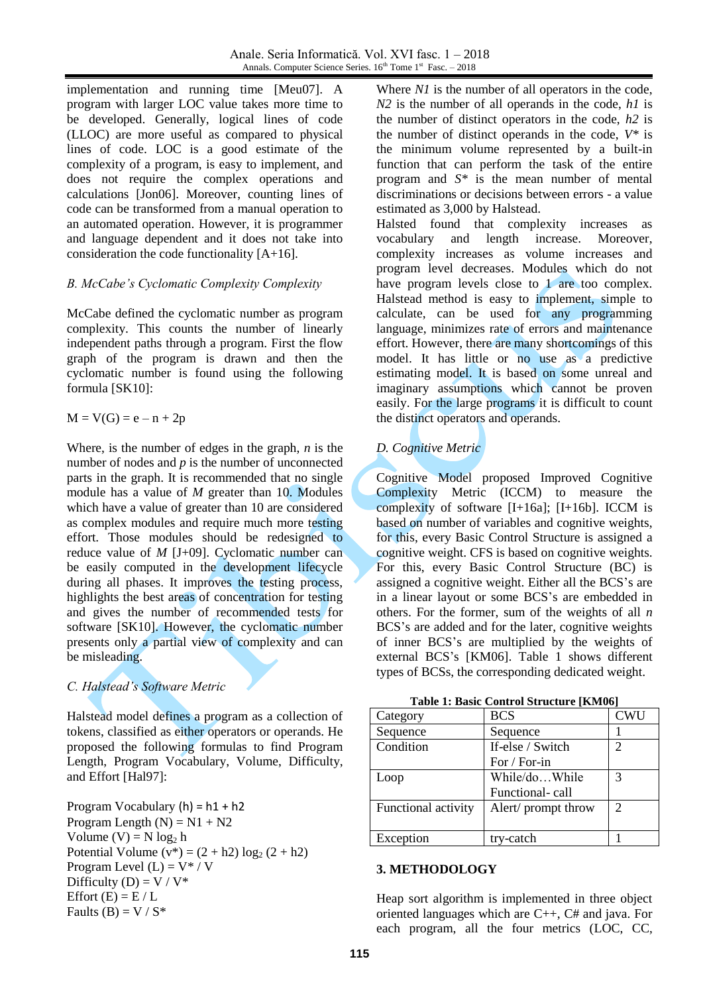implementation and running time [Meu07]. A program with larger LOC value takes more time to be developed. Generally, logical lines of code (LLOC) are more useful as compared to physical lines of code. LOC is a good estimate of the complexity of a program, is easy to implement, and does not require the complex operations and calculations [Jon06]. Moreover, counting lines of code can be transformed from a manual operation to an automated operation. However, it is programmer and language dependent and it does not take into consideration the code functionality [A+16].

### *B. McCabe's Cyclomatic Complexity Complexity*

McCabe defined the cyclomatic number as program complexity. This counts the number of linearly independent paths through a program. First the flow graph of the program is drawn and then the cyclomatic number is found using the following formula [SK10]:

$$
M = V(G) = e - n + 2p
$$

Where, is the number of edges in the graph, *n* is the number of nodes and *p* is the number of unconnected parts in the graph. It is recommended that no single module has a value of *M* greater than 10. Modules which have a value of greater than 10 are considered as complex modules and require much more testing effort. Those modules should be redesigned to reduce value of *M* [J+09]. Cyclomatic number can be easily computed in the development lifecycle during all phases. It improves the testing process, highlights the best areas of concentration for testing and gives the number of recommended tests for software [SK10]. However, the cyclomatic number presents only a partial view of complexity and can be misleading.

# *C. Halstead's Software Metric*

Halstead model defines a program as a collection of tokens, classified as either operators or operands. He proposed the following formulas to find Program Length, Program Vocabulary, Volume, Difficulty, and Effort [Hal97]:

Program Vocabulary  $(h) = h1 + h2$ Program Length  $(N) = N1 + N2$ Volume  $(V) = N \log_2 h$ Potential Volume  $(v^*) = (2 + h2) \log_2 (2 + h2)$ Program Level  $(L) = V^* / V$ Difficulty (D) =  $V / V^*$ Effort  $(E) = E/L$ Faults (B) =  $V / S^*$ 

Where *N1* is the number of all operators in the code, *N2* is the number of all operands in the code, *h1* is the number of distinct operators in the code, *h2* is the number of distinct operands in the code,  $V^*$  is the minimum volume represented by a built-in function that can perform the task of the entire program and *S\** is the mean number of mental discriminations or decisions between errors - a value estimated as 3,000 by Halstead.

Halsted found that complexity increases as vocabulary and length increase. Moreover, complexity increases as volume increases and program level decreases. Modules which do not have program levels close to 1 are too complex. Halstead method is easy to implement, simple to calculate, can be used for any programming language, minimizes rate of errors and maintenance effort. However, there are many shortcomings of this model. It has little or no use as a predictive estimating model. It is based on some unreal and imaginary assumptions which cannot be proven easily. For the large programs it is difficult to count the distinct operators and operands.

# *D. Cognitive Metric*

Cognitive Model proposed Improved Cognitive Complexity Metric (ICCM) to measure the complexity of software [I+16a]; [I+16b]. ICCM is based on number of variables and cognitive weights, for this, every Basic Control Structure is assigned a cognitive weight. CFS is based on cognitive weights. For this, every Basic Control Structure (BC) is assigned a cognitive weight. Either all the BCS's are in a linear layout or some BCS's are embedded in others. For the former, sum of the weights of all *n*  BCS's are added and for the later, cognitive weights of inner BCS's are multiplied by the weights of external BCS's [KM06]. Table 1 shows different types of BCSs, the corresponding dedicated weight.

**Table 1: Basic Control Structure [KM06]**

| Category            | <b>BCS</b>          | <b>CWU</b>     |
|---------------------|---------------------|----------------|
| Sequence            | Sequence            |                |
| Condition           | If-else / Switch    | 2              |
|                     | For / For-in        |                |
| Loop                | While/doWhile       | 3              |
|                     | Functional-call     |                |
| Functional activity | Alert/ prompt throw | $\overline{2}$ |
|                     |                     |                |
| Exception           | try-catch           |                |

#### **3. METHODOLOGY**

Heap sort algorithm is implemented in three object oriented languages which are C++, C# and java. For each program, all the four metrics (LOC, CC,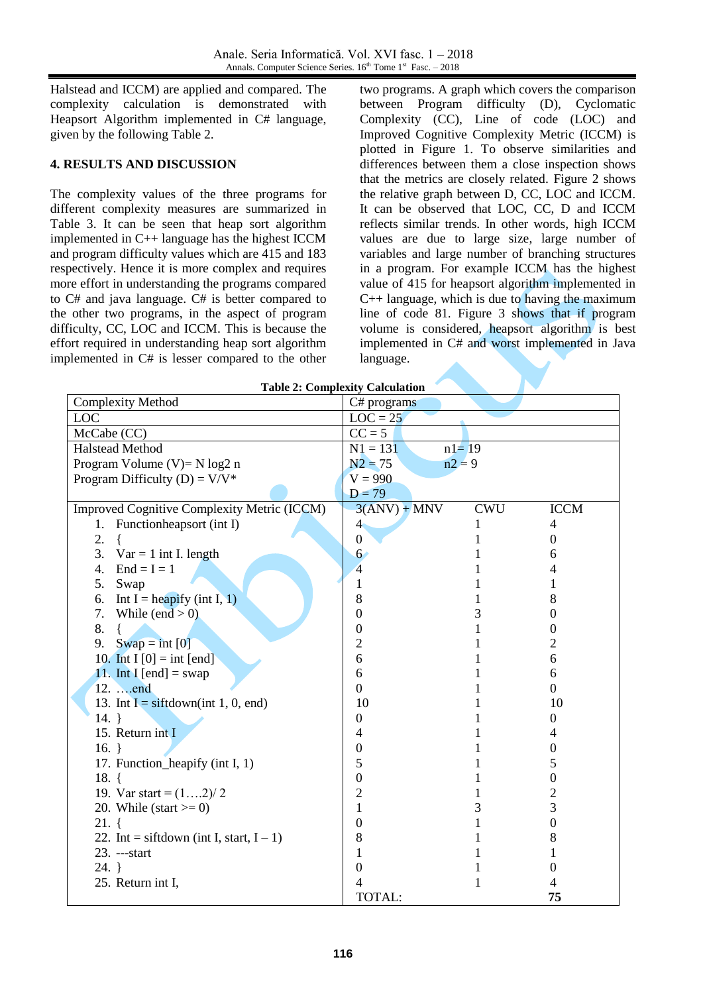Halstead and ICCM) are applied and compared. The complexity calculation is demonstrated with Heapsort Algorithm implemented in C# language, given by the following Table 2.

# **4. RESULTS AND DISCUSSION**

The complexity values of the three programs for different complexity measures are summarized in Table 3. It can be seen that heap sort algorithm implemented in C++ language has the highest ICCM and program difficulty values which are 415 and 183 respectively. Hence it is more complex and requires more effort in understanding the programs compared to C# and java language. C# is better compared to the other two programs, in the aspect of program difficulty, CC, LOC and ICCM. This is because the effort required in understanding heap sort algorithm implemented in C# is lesser compared to the other

two programs. A graph which covers the comparison between Program difficulty (D), Cyclomatic Complexity (CC), Line of code (LOC) and Improved Cognitive Complexity Metric (ICCM) is plotted in Figure 1. To observe similarities and differences between them a close inspection shows that the metrics are closely related. Figure 2 shows the relative graph between D, CC, LOC and ICCM. It can be observed that LOC, CC, D and ICCM reflects similar trends. In other words, high ICCM values are due to large size, large number of variables and large number of branching structures in a program. For example ICCM has the highest value of 415 for heapsort algorithm implemented in C++ language, which is due to having the maximum line of code 81. Figure 3 shows that if program volume is considered, heapsort algorithm is best implemented in C# and worst implemented in Java language.

| <b>Table 2: Complexity Calculation</b>      |                         |            |                  |  |  |  |  |  |  |
|---------------------------------------------|-------------------------|------------|------------------|--|--|--|--|--|--|
| <b>Complexity Method</b>                    | C# programs             |            |                  |  |  |  |  |  |  |
| <b>LOC</b>                                  | $LOC = 25$              |            |                  |  |  |  |  |  |  |
| McCabe (CC)                                 | $CC = 5$                |            |                  |  |  |  |  |  |  |
| <b>Halstead Method</b>                      | $N1 = 131$<br>$n1 = 19$ |            |                  |  |  |  |  |  |  |
| Program Volume (V)= $N \log 2 n$            | $N2 = 75$<br>$n2 = 9$   |            |                  |  |  |  |  |  |  |
| Program Difficulty (D) = $V/V^*$            | $V = 990$               |            |                  |  |  |  |  |  |  |
|                                             | $D = 79$                |            |                  |  |  |  |  |  |  |
| Improved Cognitive Complexity Metric (ICCM) | $3(ANV) + MNV$          | <b>CWU</b> | <b>ICCM</b>      |  |  |  |  |  |  |
| 1. Functionheapsort (int I)                 | 4 <sup>°</sup>          | 1          | 4                |  |  |  |  |  |  |
| 2.                                          | $\boldsymbol{0}$        |            | 0                |  |  |  |  |  |  |
| 3.<br>$Var = 1$ int I. length               | 6 <sup>2</sup>          |            | 6                |  |  |  |  |  |  |
| 4.<br>$End = I = 1$                         | $\overline{4}$          |            |                  |  |  |  |  |  |  |
| 5.<br>Swap                                  | 1                       |            |                  |  |  |  |  |  |  |
| Int I = heapify (int I, 1)<br>6.            | 8                       |            | 8                |  |  |  |  |  |  |
| 7.<br>While (end $> 0$ )                    | $\Omega$                | 3          | 0                |  |  |  |  |  |  |
| 8.                                          | $\Omega$                |            | 0                |  |  |  |  |  |  |
| 9.<br>$Swap = int [0]$                      | $\overline{2}$          |            | 2                |  |  |  |  |  |  |
| 10. Int I $[0] = \text{int [end]}$          | 6                       |            | 6                |  |  |  |  |  |  |
| 11. Int I [end] = swap                      | 6                       |            | 6                |  |  |  |  |  |  |
| 12.  . end                                  | $\boldsymbol{0}$        |            | $\mathbf{0}$     |  |  |  |  |  |  |
| 13. Int I = siftdown(int 1, 0, end)         | 10                      |            | 10               |  |  |  |  |  |  |
| $14. \}$                                    | $\boldsymbol{0}$        |            | $\theta$         |  |  |  |  |  |  |
| 15. Return int I                            | 4                       |            | 4                |  |  |  |  |  |  |
| $16. \}$                                    | $\Omega$                |            | 0                |  |  |  |  |  |  |
| 17. Function_heapify (int I, 1)             | 5                       |            | 5                |  |  |  |  |  |  |
| 18. $\{$                                    | $\boldsymbol{0}$        |            | $\boldsymbol{0}$ |  |  |  |  |  |  |
| 19. Var start = $(12)/2$                    | $\overline{c}$          |            | $\overline{c}$   |  |  |  |  |  |  |
| 20. While (start $\geq 0$ )                 | 1                       | 3          | 3                |  |  |  |  |  |  |
| $21.$ {                                     | $\theta$                |            | $\overline{0}$   |  |  |  |  |  |  |
| 22. Int = siftdown (int I, start, $I - 1$ ) | 8                       |            | 8                |  |  |  |  |  |  |
| 23. ---start                                |                         |            |                  |  |  |  |  |  |  |
| $24. \}$                                    | $\theta$                |            | 0                |  |  |  |  |  |  |
| 25. Return int I,                           | 4                       |            |                  |  |  |  |  |  |  |
|                                             | TOTAL:                  |            | 75               |  |  |  |  |  |  |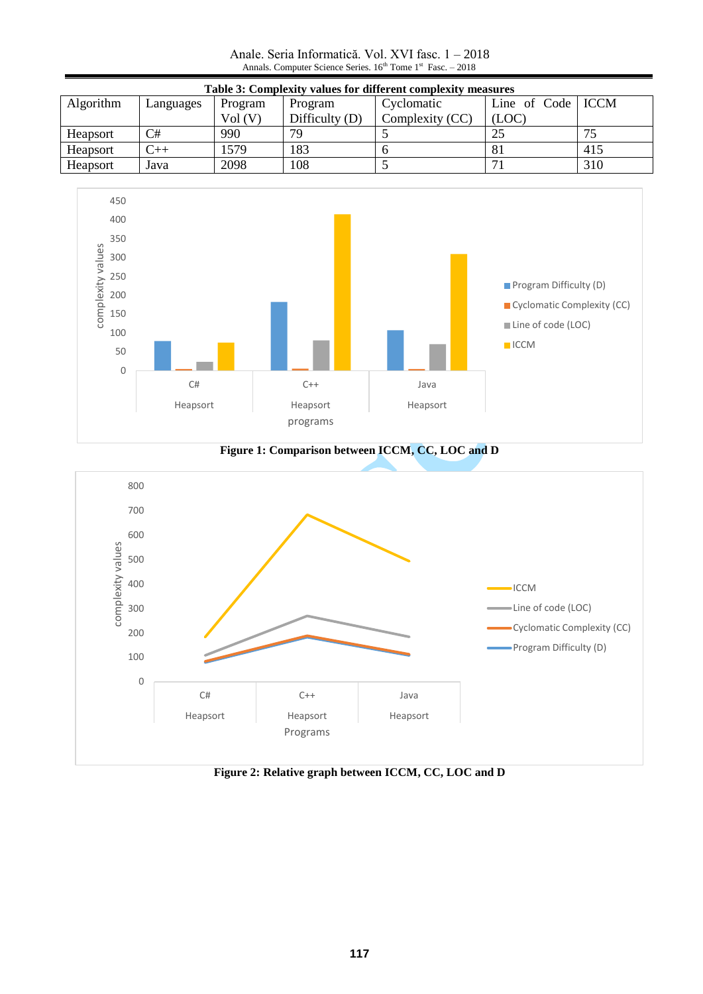Anale. Seria Informatică. Vol. XVI fasc. 1 – 2018 Annals. Computer Science Series.  $16<sup>th</sup>$  Tome  $1<sup>st</sup>$  Fasc.  $-2018$ 

| Table 3: Complexity values for different complexity measures |           |         |                  |                 |                     |     |  |  |  |  |
|--------------------------------------------------------------|-----------|---------|------------------|-----------------|---------------------|-----|--|--|--|--|
| Algorithm                                                    | Languages | Program | Program          | Cyclomatic      | Line of Code   ICCM |     |  |  |  |  |
|                                                              |           | Vol(V)  | Difficulty $(D)$ | Complexity (CC) | (LOC)               |     |  |  |  |  |
| Heapsort                                                     | C#        | 990     | 79               |                 |                     |     |  |  |  |  |
| Heapsort                                                     | $C++$     | 1579    | 183              |                 |                     | 415 |  |  |  |  |
| <b>Heapsort</b>                                              | Java      | 2098    | 108              |                 |                     | 310 |  |  |  |  |



**Figure 1: Comparison between ICCM, CC, LOC and D**



**Figure 2: Relative graph between ICCM, CC, LOC and D**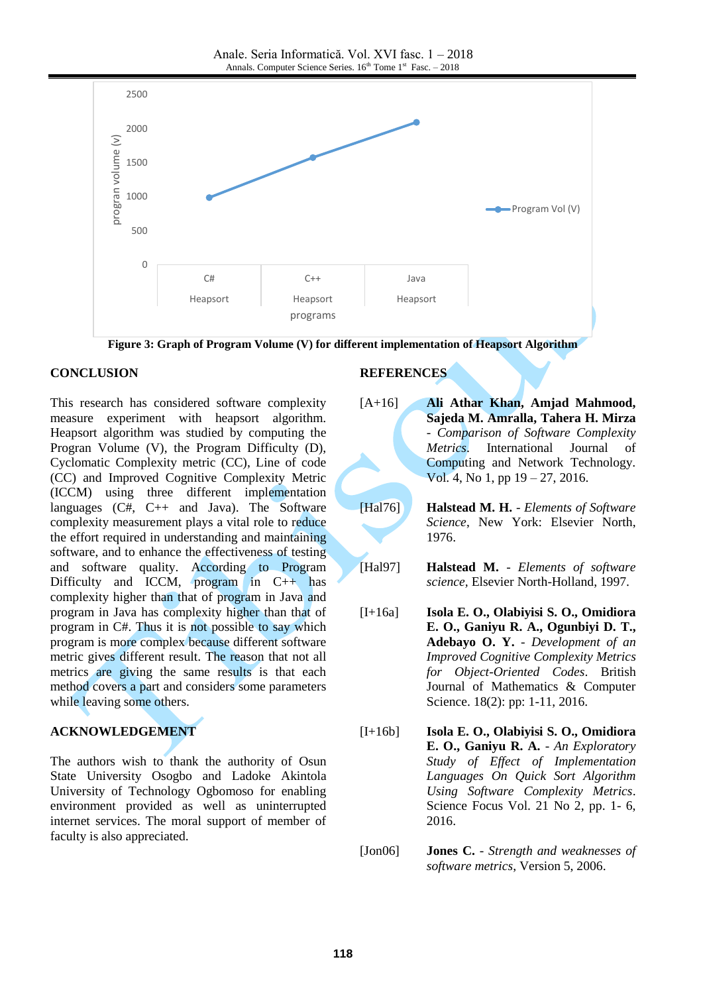

**Figure 3: Graph of Program Volume (V) for different implementation of Heapsort Algorithm**

### **CONCLUSION**

This research has considered software complexity measure experiment with heapsort algorithm. Heapsort algorithm was studied by computing the Progran Volume (V), the Program Difficulty (D), Cyclomatic Complexity metric (CC), Line of code (CC) and Improved Cognitive Complexity Metric (ICCM) using three different implementation languages (C#, C++ and Java). The Software complexity measurement plays a vital role to reduce the effort required in understanding and maintaining software, and to enhance the effectiveness of testing and software quality. According to Program Difficulty and ICCM, program in  $C++$  has complexity higher than that of program in Java and program in Java has complexity higher than that of program in C#. Thus it is not possible to say which program is more complex because different software metric gives different result. The reason that not all metrics are giving the same results is that each method covers a part and considers some parameters while leaving some others.

# **ACKNOWLEDGEMENT**

The authors wish to thank the authority of Osun State University Osogbo and Ladoke Akintola University of Technology Ogbomoso for enabling environment provided as well as uninterrupted internet services. The moral support of member of faculty is also appreciated.

### **REFERENCES**

- [A+16] **Ali Athar Khan, Amjad Mahmood, Sajeda M. Amralla, Tahera H. Mirza** - *Comparison of Software Complexity Metrics*. International Journal of Computing and Network Technology. Vol. 4, No 1, pp 19 – 27, 2016.
- [Hal76] **Halstead M. H.** *Elements of Software Science*, New York: Elsevier North, 1976.
- [Hal97] **Halstead M.** *Elements of software science,* Elsevier North-Holland, 1997.
- [I+16a] **Isola E. O., Olabiyisi S. O., Omidiora E. O., Ganiyu R. A., Ogunbiyi D. T., Adebayo O. Y.** - *Development of an Improved Cognitive Complexity Metrics for Object-Oriented Codes*. British Journal of Mathematics & Computer Science. 18(2): pp: 1-11, 2016.
- [I+16b] **Isola E. O., Olabiyisi S. O., Omidiora E. O., Ganiyu R. A.** - *An Exploratory Study of Effect of Implementation Languages On Quick Sort Algorithm Using Software Complexity Metrics*. Science Focus Vol. 21 No 2, pp. 1- 6, 2016.

[Jon06] **Jones C.** - *Strength and weaknesses of software metrics*, Version 5, 2006.